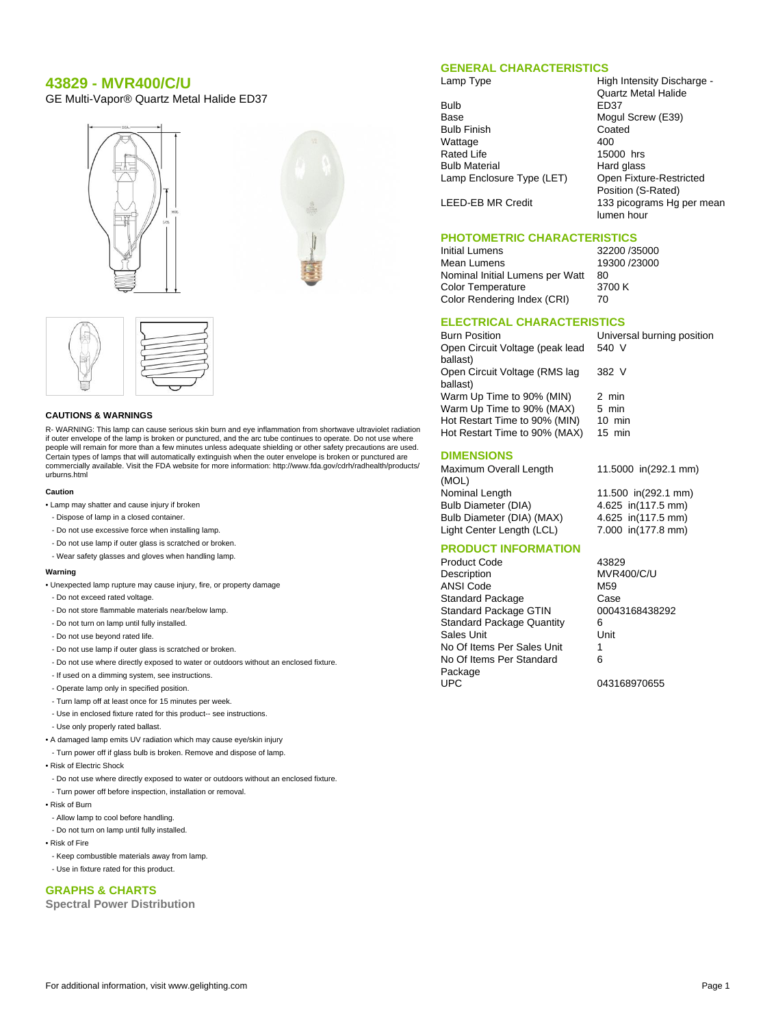# **43829 - MVR400/C/U**

GE Multi-Vapor® Quartz Metal Halide ED37





#### **CAUTIONS & WARNINGS**

R- WARNING: This lamp can cause serious skin burn and eye inflammation from shortwave ultraviolet radiation if outer envelope of the lamp is broken or punctured, and the arc tube continues to operate. Do not use where people will remain for more than a few minutes unless adequate shielding or other safety precautions are used. Certain types of lamps that will automatically extinguish when the outer envelope is broken or punctured are commercially available. Visit the FDA website for more information: http://www.fda.gov/cdrh/radhealth/products/ urburns.html

#### **Caution**

- Lamp may shatter and cause injury if broken
- Dispose of lamp in a closed container.
- Do not use excessive force when installing lamp.
- Do not use lamp if outer glass is scratched or broken.
- Wear safety glasses and gloves when handling lamp.

#### **Warning**

- Unexpected lamp rupture may cause injury, fire, or property damage
- Do not exceed rated voltage.
- Do not store flammable materials near/below lamp.
- Do not turn on lamp until fully installed.
- Do not use beyond rated life.
- Do not use lamp if outer glass is scratched or broken.
- Do not use where directly exposed to water or outdoors without an enclosed fixture.
- If used on a dimming system, see instructions.
- Operate lamp only in specified position.
- Turn lamp off at least once for 15 minutes per week.
- Use in enclosed fixture rated for this product-- see instructions.
- Use only properly rated ballast.
- A damaged lamp emits UV radiation which may cause eye/skin injury
- Turn power off if glass bulb is broken. Remove and dispose of lamp.
- Risk of Electric Shock
- Do not use where directly exposed to water or outdoors without an enclosed fixture.
- Turn power off before inspection, installation or removal.
- Risk of Burn
- Allow lamp to cool before handling.
- Do not turn on lamp until fully installed.
- Risk of Fire
- Keep combustible materials away from lamp.
- Use in fixture rated for this product.

#### **GRAPHS & CHARTS**

**Spectral Power Distribution**

### **GENERAL CHARACTERISTICS**

Lamp Type **High Intensity Discharge -**

| Bulb                      | ED3  |
|---------------------------|------|
| Base                      | Mog  |
| <b>Bulb Finish</b>        | Coa  |
| Wattage                   | 400  |
| <b>Rated Life</b>         | 1500 |
| <b>Bulb Material</b>      | Hard |
| Lamp Enclosure Type (LET) | Ope  |
|                           | n    |

Quartz Metal Halide ED37 Mogul Screw (E39) Coated 15000 hrs Hard glass [) Open Fixture-Restricted Position (S-Rated) LEED-EB MR Credit 133 picograms Hg per mean lumen hour

# **PHOTOMETRIC CHARACTERISTICS**

Initial Lumens 32200 /35000 Mean Lumens 19300 /23000<br>Nominal Initial Lumens per Watt 80 Nominal Initial Lumens per Watt Color Temperature 3700 K Color Rendering Index (CRI) 70

540 V

382 V

## **ELECTRICAL CHARACTERISTICS**

Burn Position Universal burning position Open Circuit Voltage (peak lead ballast) Open Circuit Voltage (RMS lag ballast) Warm Up Time to 90% (MIN) 2 min<br>Warm Up Time to 90% (MAX) 5 min Warm Up Time to  $90\%$  (MAX) Hot Restart Time to 90% (MIN) 10 min Hot Restart Time to 90% (MAX) 15 min

#### **DIMENSIONS**

Maximum Overall Length (MOL) Nominal Length 11.500 in(292.1 mm) Bulb Diameter (DIA) 4.625 in(117.5 mm) Bulb Diameter (DIA) (MAX) 4.625 in(117.5 mm) Light Center Length (LCL) 7.000 in(177.8 mm)

11.5000 in(292.1 mm)

# **PRODUCT INFORMATION**

Product Code 43829 Description MVR400/C/U ANSI Code M59 Standard Package Case<br>
Standard Package GTIN 00043168438292 Standard Package GTIN Standard Package Quantity 6 Sales Unit **Unit** Unit No Of Items Per Sales Unit 1 No Of Items Per Standard Package<br>UPC

6

043168970655